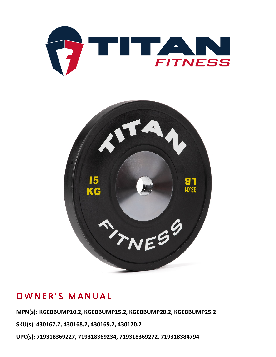



**MPN(s): KGEBBUMP10.2, KGEBBUMP15.2, KGEBBUMP20.2, KGEBBUMP25.2**

**SKU(s): 430167.2, 430168.2, 430169.2, 430170.2**

**UPC(s): 719318369227, 719318369234, 719318369272, 719318384794**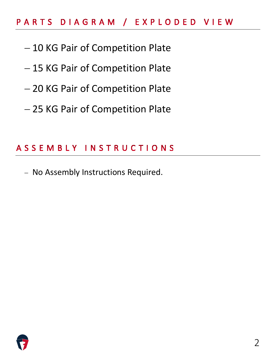# PARTS DIAGRAM / EXPLODED VIEW

- − 10 KG Pair of Competition Plate
- − 15 KG Pair of Competition Plate
- − 20 KG Pair of Competition Plate
- − 25 KG Pair of Competition Plate

# ASSEMBLY INSTRUCTIONS

− No Assembly Instructions Required.